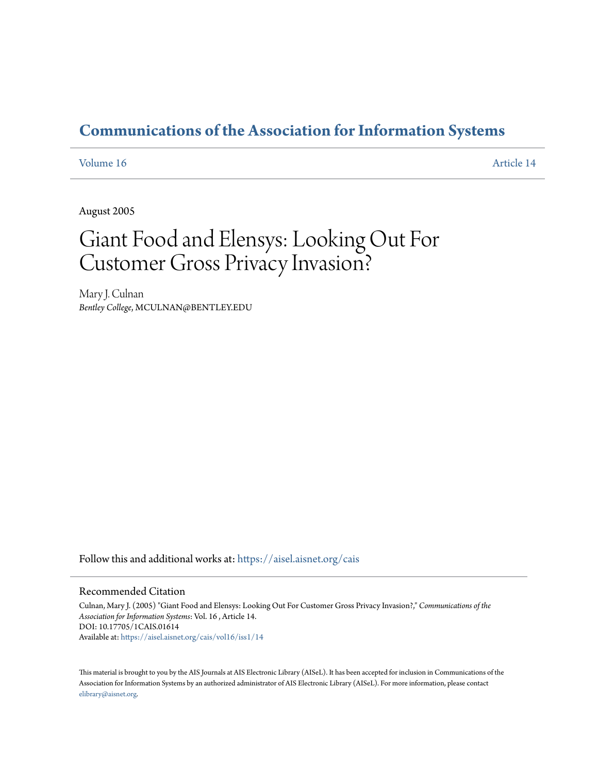# **[Communications of the Association for Information Systems](https://aisel.aisnet.org/cais?utm_source=aisel.aisnet.org%2Fcais%2Fvol16%2Fiss1%2F14&utm_medium=PDF&utm_campaign=PDFCoverPages)**

#### [Volume 16](https://aisel.aisnet.org/cais/vol16?utm_source=aisel.aisnet.org%2Fcais%2Fvol16%2Fiss1%2F14&utm_medium=PDF&utm_campaign=PDFCoverPages) [Article 14](https://aisel.aisnet.org/cais/vol16/iss1/14?utm_source=aisel.aisnet.org%2Fcais%2Fvol16%2Fiss1%2F14&utm_medium=PDF&utm_campaign=PDFCoverPages)

August 2005

# Giant Food and Elensys: Looking Out For Customer Gross Privacy Invasion?

Mary J. Culnan *Bentley College*, MCULNAN@BENTLEY.EDU

Follow this and additional works at: [https://aisel.aisnet.org/cais](https://aisel.aisnet.org/cais?utm_source=aisel.aisnet.org%2Fcais%2Fvol16%2Fiss1%2F14&utm_medium=PDF&utm_campaign=PDFCoverPages)

#### Recommended Citation

Culnan, Mary J. (2005) "Giant Food and Elensys: Looking Out For Customer Gross Privacy Invasion?," *Communications of the Association for Information Systems*: Vol. 16 , Article 14. DOI: 10.17705/1CAIS.01614 Available at: [https://aisel.aisnet.org/cais/vol16/iss1/14](https://aisel.aisnet.org/cais/vol16/iss1/14?utm_source=aisel.aisnet.org%2Fcais%2Fvol16%2Fiss1%2F14&utm_medium=PDF&utm_campaign=PDFCoverPages)

This material is brought to you by the AIS Journals at AIS Electronic Library (AISeL). It has been accepted for inclusion in Communications of the Association for Information Systems by an authorized administrator of AIS Electronic Library (AISeL). For more information, please contact [elibrary@aisnet.org.](mailto:elibrary@aisnet.org%3E)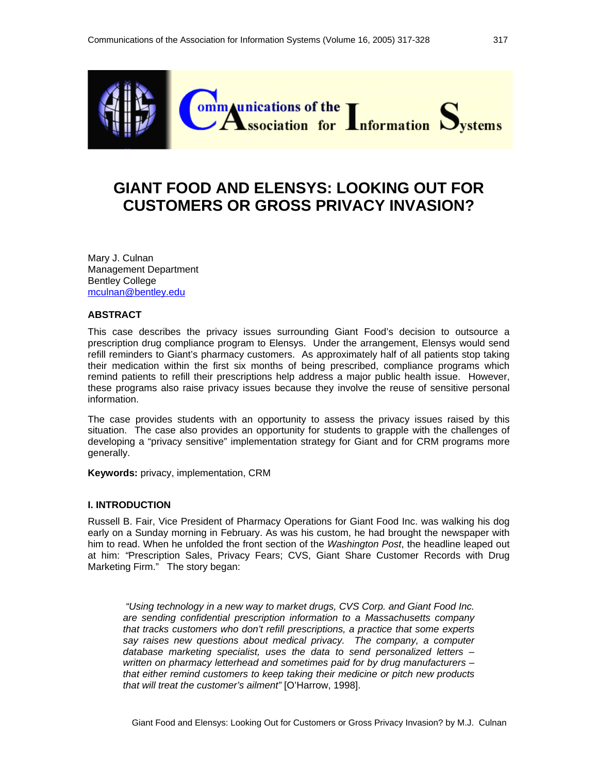

# **GIANT FOOD AND ELENSYS: LOOKING OUT FOR CUSTOMERS OR GROSS PRIVACY INVASION?**

Mary J. Culnan Management Department Bentley College mculnan@bentley.edu

#### **ABSTRACT**

This case describes the privacy issues surrounding Giant Food's decision to outsource a prescription drug compliance program to Elensys. Under the arrangement, Elensys would send refill reminders to Giant's pharmacy customers. As approximately half of all patients stop taking their medication within the first six months of being prescribed, compliance programs which remind patients to refill their prescriptions help address a major public health issue. However, these programs also raise privacy issues because they involve the reuse of sensitive personal information.

The case provides students with an opportunity to assess the privacy issues raised by this situation. The case also provides an opportunity for students to grapple with the challenges of developing a "privacy sensitive" implementation strategy for Giant and for CRM programs more generally.

**Keywords:** privacy, implementation, CRM

#### **I. INTRODUCTION**

Russell B. Fair, Vice President of Pharmacy Operations for Giant Food Inc. was walking his dog early on a Sunday morning in February. As was his custom, he had brought the newspaper with him to read. When he unfolded the front section of the *Washington Post*, the headline leaped out at him: *"*Prescription Sales, Privacy Fears; CVS, Giant Share Customer Records with Drug Marketing Firm." The story began:

 *"Using technology in a new way to market drugs, CVS Corp. and Giant Food Inc. are sending confidential prescription information to a Massachusetts company that tracks customers who don't refill prescriptions, a practice that some experts say raises new questions about medical privacy. The company, a computer database marketing specialist, uses the data to send personalized letters – written on pharmacy letterhead and sometimes paid for by drug manufacturers – that either remind customers to keep taking their medicine or pitch new products that will treat the customer's ailment"* [O'Harrow, 1998].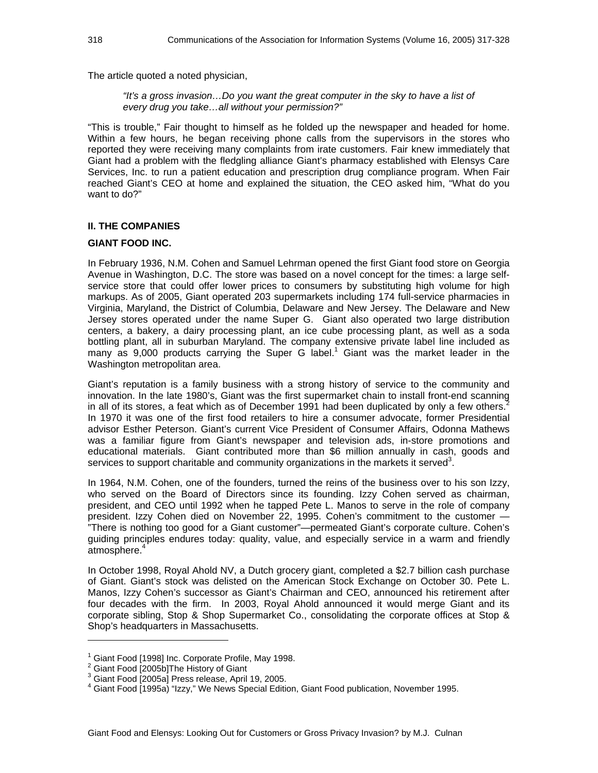The article quoted a noted physician,

*"It's a gross invasion…Do you want the great computer in the sky to have a list of every drug you take…all without your permission?"* 

"This is trouble," Fair thought to himself as he folded up the newspaper and headed for home. Within a few hours, he began receiving phone calls from the supervisors in the stores who reported they were receiving many complaints from irate customers. Fair knew immediately that Giant had a problem with the fledgling alliance Giant's pharmacy established with Elensys Care Services, Inc. to run a patient education and prescription drug compliance program. When Fair reached Giant's CEO at home and explained the situation, the CEO asked him, "What do you want to do?"

#### **II. THE COMPANIES**

#### **GIANT FOOD INC.**

In February 1936, N.M. Cohen and Samuel Lehrman opened the first Giant food store on Georgia Avenue in Washington, D.C. The store was based on a novel concept for the times: a large selfservice store that could offer lower prices to consumers by substituting high volume for high markups. As of 2005, Giant operated 203 supermarkets including 174 full-service pharmacies in Virginia, Maryland, the District of Columbia, Delaware and New Jersey. The Delaware and New Jersey stores operated under the name Super G. Giant also operated two large distribution centers, a bakery, a dairy processing plant, an ice cube processing plant, as well as a soda bottling plant, all in suburban Maryland. The company extensive private label line included as many as  $9,000$  products carrying the Super G label.<sup>1</sup> Giant was the market leader in the Washington metropolitan area.

Giant's reputation is a family business with a strong history of service to the community and innovation. In the late 1980's, Giant was the first supermarket chain to install front-end scanning in all of its stores, a feat which as of December 1991 had been duplicated by only a few others.<sup>2</sup> In 1970 it was one of the first food retailers to hire a consumer advocate, former Presidential advisor Esther Peterson. Giant's current Vice President of Consumer Affairs, Odonna Mathews was a familiar figure from Giant's newspaper and television ads, in-store promotions and educational materials. Giant contributed more than \$6 million annually in cash, goods and services to support charitable and community organizations in the markets it served<sup>3</sup>.

In 1964, N.M. Cohen, one of the founders, turned the reins of the business over to his son Izzy, who served on the Board of Directors since its founding. Izzy Cohen served as chairman, president, and CEO until 1992 when he tapped Pete L. Manos to serve in the role of company president. Izzy Cohen died on November 22, 1995. Cohen's commitment to the customer — "There is nothing too good for a Giant customer"—permeated Giant's corporate culture. Cohen's guiding principles endures today: quality, value, and especially service in a warm and friendly atmosphere.<sup>4</sup>

In October 1998, Royal Ahold NV, a Dutch grocery giant, completed a \$2.7 billion cash purchase of Giant. Giant's stock was delisted on the American Stock Exchange on October 30. Pete L. Manos, Izzy Cohen's successor as Giant's Chairman and CEO, announced his retirement after four decades with the firm. In 2003, Royal Ahold announced it would merge Giant and its corporate sibling, Stop & Shop Supermarket Co., consolidating the corporate offices at Stop & Shop's headquarters in Massachusetts.

1

<sup>&</sup>lt;sup>1</sup> Giant Food [1998] Inc. Corporate Profile, May 1998.<br><sup>2</sup> Ciant Food [2005b]The History of Ciant.

<sup>&</sup>lt;sup>2</sup> Giant Food [2005b]The History of Giant

<sup>&</sup>lt;sup>3</sup> Giant Food [2005a] Press release, April 19, 2005.<br><sup>4</sup> Ciant Food [1905a) "Izzy." We Navy Spocjal Editio

Giant Food [1995a) "Izzy," We News Special Edition, Giant Food publication, November 1995.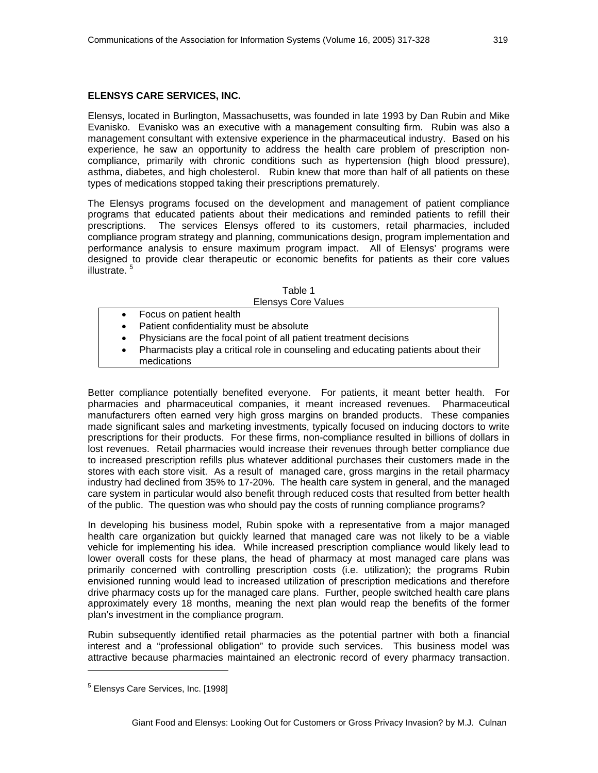#### **ELENSYS CARE SERVICES, INC.**

Elensys, located in Burlington, Massachusetts, was founded in late 1993 by Dan Rubin and Mike Evanisko. Evanisko was an executive with a management consulting firm. Rubin was also a management consultant with extensive experience in the pharmaceutical industry. Based on his experience, he saw an opportunity to address the health care problem of prescription noncompliance, primarily with chronic conditions such as hypertension (high blood pressure), asthma, diabetes, and high cholesterol. Rubin knew that more than half of all patients on these types of medications stopped taking their prescriptions prematurely.

The Elensys programs focused on the development and management of patient compliance programs that educated patients about their medications and reminded patients to refill their prescriptions. The services Elensys offered to its customers, retail pharmacies, included compliance program strategy and planning, communications design, program implementation and performance analysis to ensure maximum program impact. All of Elensys' programs were designed to provide clear therapeutic or economic benefits for patients as their core values illustrate.<sup>5</sup>

| Table 1                    |  |  |  |  |  |
|----------------------------|--|--|--|--|--|
| <b>Elensys Core Values</b> |  |  |  |  |  |

- Focus on patient health
	- Patient confidentiality must be absolute
	- Physicians are the focal point of all patient treatment decisions
- Pharmacists play a critical role in counseling and educating patients about their medications

Better compliance potentially benefited everyone. For patients, it meant better health. For pharmacies and pharmaceutical companies, it meant increased revenues. Pharmaceutical manufacturers often earned very high gross margins on branded products. These companies made significant sales and marketing investments, typically focused on inducing doctors to write prescriptions for their products. For these firms, non-compliance resulted in billions of dollars in lost revenues. Retail pharmacies would increase their revenues through better compliance due to increased prescription refills plus whatever additional purchases their customers made in the stores with each store visit. As a result of managed care, gross margins in the retail pharmacy industry had declined from 35% to 17-20%. The health care system in general, and the managed care system in particular would also benefit through reduced costs that resulted from better health of the public. The question was who should pay the costs of running compliance programs?

In developing his business model, Rubin spoke with a representative from a major managed health care organization but quickly learned that managed care was not likely to be a viable vehicle for implementing his idea. While increased prescription compliance would likely lead to lower overall costs for these plans, the head of pharmacy at most managed care plans was primarily concerned with controlling prescription costs (i.e. utilization); the programs Rubin envisioned running would lead to increased utilization of prescription medications and therefore drive pharmacy costs up for the managed care plans. Further, people switched health care plans approximately every 18 months, meaning the next plan would reap the benefits of the former plan's investment in the compliance program.

Rubin subsequently identified retail pharmacies as the potential partner with both a financial interest and a "professional obligation" to provide such services. This business model was attractive because pharmacies maintained an electronic record of every pharmacy transaction.

l

<sup>&</sup>lt;sup>5</sup> Elensys Care Services, Inc. [1998]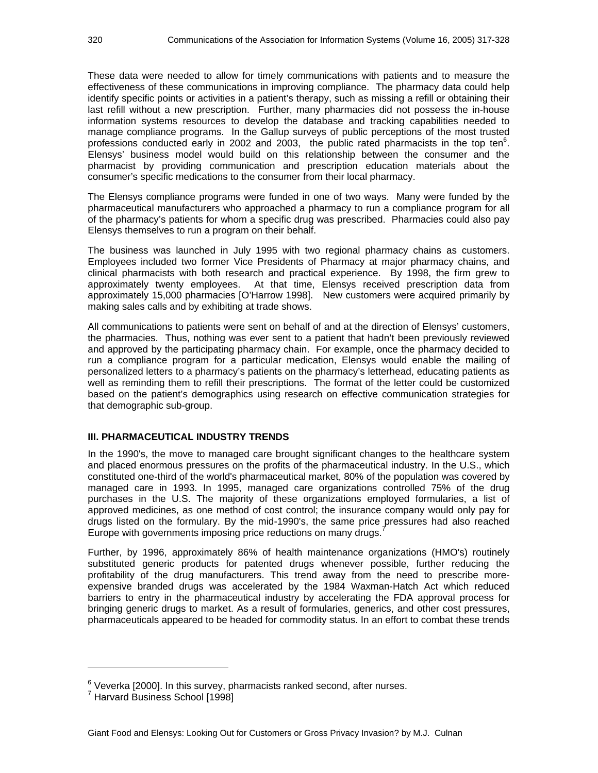These data were needed to allow for timely communications with patients and to measure the effectiveness of these communications in improving compliance. The pharmacy data could help identify specific points or activities in a patient's therapy, such as missing a refill or obtaining their last refill without a new prescription. Further, many pharmacies did not possess the in-house information systems resources to develop the database and tracking capabilities needed to manage compliance programs. In the Gallup surveys of public perceptions of the most trusted professions conducted early in 2002 and 2003, the public rated pharmacists in the top ten $6$ . Elensys' business model would build on this relationship between the consumer and the pharmacist by providing communication and prescription education materials about the consumer's specific medications to the consumer from their local pharmacy.

The Elensys compliance programs were funded in one of two ways. Many were funded by the pharmaceutical manufacturers who approached a pharmacy to run a compliance program for all of the pharmacy's patients for whom a specific drug was prescribed. Pharmacies could also pay Elensys themselves to run a program on their behalf.

The business was launched in July 1995 with two regional pharmacy chains as customers. Employees included two former Vice Presidents of Pharmacy at major pharmacy chains, and clinical pharmacists with both research and practical experience. By 1998, the firm grew to approximately twenty employees. At that time, Elensys received prescription data from approximately 15,000 pharmacies [O'Harrow 1998]. New customers were acquired primarily by making sales calls and by exhibiting at trade shows.

All communications to patients were sent on behalf of and at the direction of Elensys' customers, the pharmacies. Thus, nothing was ever sent to a patient that hadn't been previously reviewed and approved by the participating pharmacy chain. For example, once the pharmacy decided to run a compliance program for a particular medication, Elensys would enable the mailing of personalized letters to a pharmacy's patients on the pharmacy's letterhead, educating patients as well as reminding them to refill their prescriptions. The format of the letter could be customized based on the patient's demographics using research on effective communication strategies for that demographic sub-group.

#### **III. PHARMACEUTICAL INDUSTRY TRENDS**

In the 1990's, the move to managed care brought significant changes to the healthcare system and placed enormous pressures on the profits of the pharmaceutical industry. In the U.S., which constituted one-third of the world's pharmaceutical market, 80% of the population was covered by managed care in 1993. In 1995, managed care organizations controlled 75% of the drug purchases in the U.S. The majority of these organizations employed formularies, a list of approved medicines, as one method of cost control; the insurance company would only pay for drugs listed on the formulary. By the mid-1990's, the same price pressures had also reached Europe with governments imposing price reductions on many drugs.<sup>7</sup>

Further, by 1996, approximately 86% of health maintenance organizations (HMO's) routinely substituted generic products for patented drugs whenever possible, further reducing the profitability of the drug manufacturers. This trend away from the need to prescribe moreexpensive branded drugs was accelerated by the 1984 Waxman-Hatch Act which reduced barriers to entry in the pharmaceutical industry by accelerating the FDA approval process for bringing generic drugs to market. As a result of formularies, generics, and other cost pressures, pharmaceuticals appeared to be headed for commodity status. In an effort to combat these trends

l

 $6$  Veverka [2000]. In this survey, pharmacists ranked second, after nurses.

<sup>&</sup>lt;sup>7</sup> Harvard Business School [1998]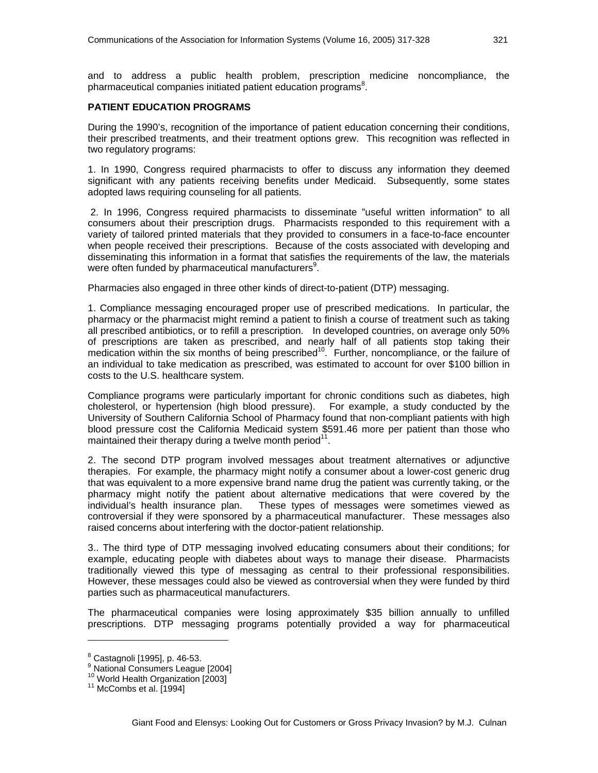and to address a public health problem, prescription medicine noncompliance, the pharmaceutical companies initiated patient education programs<sup>8</sup>.

#### **PATIENT EDUCATION PROGRAMS**

During the 1990's, recognition of the importance of patient education concerning their conditions, their prescribed treatments, and their treatment options grew. This recognition was reflected in two regulatory programs:

1. In 1990, Congress required pharmacists to offer to discuss any information they deemed significant with any patients receiving benefits under Medicaid. Subsequently, some states adopted laws requiring counseling for all patients.

 2. In 1996, Congress required pharmacists to disseminate "useful written information" to all consumers about their prescription drugs. Pharmacists responded to this requirement with a variety of tailored printed materials that they provided to consumers in a face-to-face encounter when people received their prescriptions. Because of the costs associated with developing and disseminating this information in a format that satisfies the requirements of the law, the materials were often funded by pharmaceutical manufacturers<sup>9</sup>.

Pharmacies also engaged in three other kinds of direct-to-patient (DTP) messaging.

1. Compliance messaging encouraged proper use of prescribed medications. In particular, the pharmacy or the pharmacist might remind a patient to finish a course of treatment such as taking all prescribed antibiotics, or to refill a prescription. In developed countries, on average only 50% of prescriptions are taken as prescribed, and nearly half of all patients stop taking their medication within the six months of being prescribed $10$ . Further, noncompliance, or the failure of an individual to take medication as prescribed, was estimated to account for over \$100 billion in costs to the U.S. healthcare system.

Compliance programs were particularly important for chronic conditions such as diabetes, high cholesterol, or hypertension (high blood pressure). For example, a study conducted by the University of Southern California School of Pharmacy found that non-compliant patients with high blood pressure cost the California Medicaid system \$591.46 more per patient than those who maintained their therapy during a twelve month period $11$ .

2. The second DTP program involved messages about treatment alternatives or adjunctive therapies. For example, the pharmacy might notify a consumer about a lower-cost generic drug that was equivalent to a more expensive brand name drug the patient was currently taking, or the pharmacy might notify the patient about alternative medications that were covered by the individual's health insurance plan. These types of messages were sometimes viewed as controversial if they were sponsored by a pharmaceutical manufacturer. These messages also raised concerns about interfering with the doctor-patient relationship.

3.. The third type of DTP messaging involved educating consumers about their conditions; for example, educating people with diabetes about ways to manage their disease. Pharmacists traditionally viewed this type of messaging as central to their professional responsibilities. However, these messages could also be viewed as controversial when they were funded by third parties such as pharmaceutical manufacturers.

The pharmaceutical companies were losing approximately \$35 billion annually to unfilled prescriptions. DTP messaging programs potentially provided a way for pharmaceutical

1

<sup>&</sup>lt;sup>8</sup> Castagnoli [1995], p. 46-53.

<sup>9</sup> National Consumers League [2004]

<sup>&</sup>lt;sup>10</sup> World Health Organization [2003]<br><sup>11</sup> McCombs et al. [1994]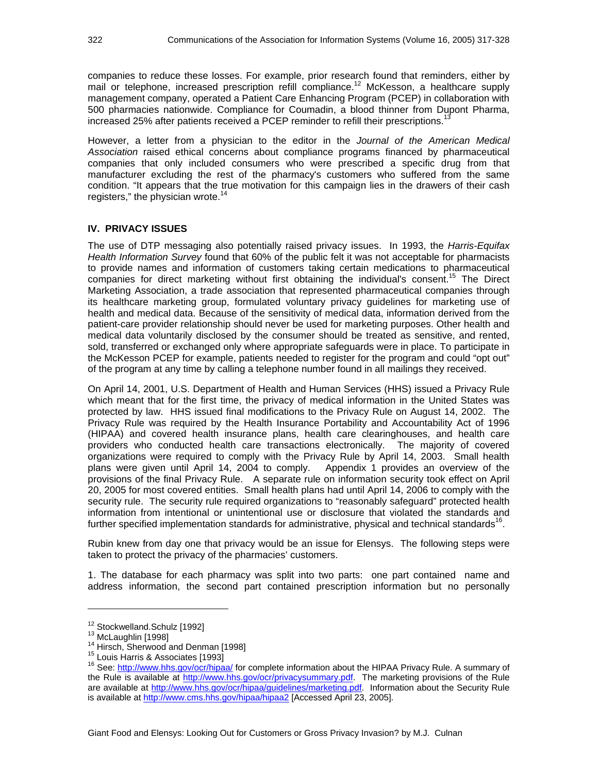companies to reduce these losses. For example, prior research found that reminders, either by mail or telephone, increased prescription refill compliance.<sup>12</sup> McKesson, a healthcare supply management company, operated a Patient Care Enhancing Program (PCEP) in collaboration with 500 pharmacies nationwide. Compliance for Coumadin, a blood thinner from Dupont Pharma, increased 25% after patients received a PCEP reminder to refill their prescriptions.<sup>1</sup>

However, a letter from a physician to the editor in the *Journal of the American Medical Association* raised ethical concerns about compliance programs financed by pharmaceutical companies that only included consumers who were prescribed a specific drug from that manufacturer excluding the rest of the pharmacy's customers who suffered from the same condition. "It appears that the true motivation for this campaign lies in the drawers of their cash registers," the physician wrote. $14$ 

#### **IV. PRIVACY ISSUES**

The use of DTP messaging also potentially raised privacy issues. In 1993, the *Harris-Equifax Health Information Survey* found that 60% of the public felt it was not acceptable for pharmacists to provide names and information of customers taking certain medications to pharmaceutical companies for direct marketing without first obtaining the individual's consent.<sup>15</sup> The Direct Marketing Association, a trade association that represented pharmaceutical companies through its healthcare marketing group, formulated voluntary privacy guidelines for marketing use of health and medical data. Because of the sensitivity of medical data, information derived from the patient-care provider relationship should never be used for marketing purposes. Other health and medical data voluntarily disclosed by the consumer should be treated as sensitive, and rented, sold, transferred or exchanged only where appropriate safeguards were in place. To participate in the McKesson PCEP for example, patients needed to register for the program and could "opt out" of the program at any time by calling a telephone number found in all mailings they received.

On April 14, 2001, U.S. Department of Health and Human Services (HHS) issued a Privacy Rule which meant that for the first time, the privacy of medical information in the United States was protected by law. HHS issued final modifications to the Privacy Rule on August 14, 2002. The Privacy Rule was required by the Health Insurance Portability and Accountability Act of 1996 (HIPAA) and covered health insurance plans, health care clearinghouses, and health care providers who conducted health care transactions electronically. The majority of covered organizations were required to comply with the Privacy Rule by April 14, 2003. Small health plans were given until April 14, 2004 to comply. Appendix 1 provides an overview of the provisions of the final Privacy Rule. A separate rule on information security took effect on April 20, 2005 for most covered entities. Small health plans had until April 14, 2006 to comply with the security rule. The security rule required organizations to "reasonably safeguard" protected health information from intentional or unintentional use or disclosure that violated the standards and further specified implementation standards for administrative, physical and technical standards<sup>16</sup>.

Rubin knew from day one that privacy would be an issue for Elensys. The following steps were taken to protect the privacy of the pharmacies' customers.

1. The database for each pharmacy was split into two parts: one part contained name and address information, the second part contained prescription information but no personally

1

<sup>&</sup>lt;sup>12</sup> Stockwelland.Schulz [1992]<br><sup>13</sup> McLaughlin [1998]<br><sup>14</sup> Hirsch, Sherwood and Denman [1998]<br><sup>15</sup> Louis Harris & Associates [1993]<br><sup>16</sup> See: http://www.hhs.gov/ocr/hipaa/ for complete information about the HIPAA Privacy the Rule is available at http://www.hhs.gov/ocr/privacysummary.pdf. The marketing provisions of the Rule are available at http://www.hhs.gov/ocr/hipaa/guidelines/marketing.pdf. Information about the Security Rule is available at http://www.cms.hhs.gov/hipaa/hipaa2 [Accessed April 23, 2005].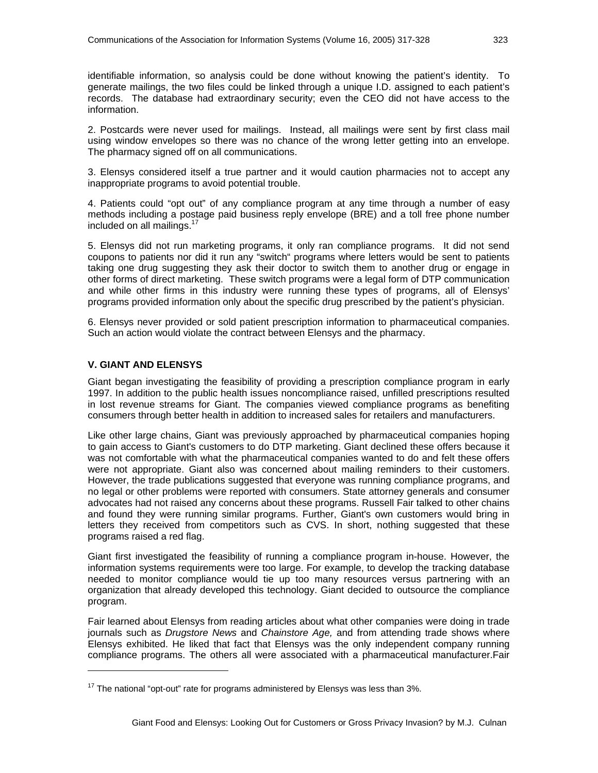identifiable information, so analysis could be done without knowing the patient's identity. To generate mailings, the two files could be linked through a unique I.D. assigned to each patient's records. The database had extraordinary security; even the CEO did not have access to the information.

2. Postcards were never used for mailings. Instead, all mailings were sent by first class mail using window envelopes so there was no chance of the wrong letter getting into an envelope. The pharmacy signed off on all communications.

3. Elensys considered itself a true partner and it would caution pharmacies not to accept any inappropriate programs to avoid potential trouble.

4. Patients could "opt out" of any compliance program at any time through a number of easy methods including a postage paid business reply envelope (BRE) and a toll free phone number included on all mailings.<sup>1</sup>

5. Elensys did not run marketing programs, it only ran compliance programs. It did not send coupons to patients nor did it run any "switch" programs where letters would be sent to patients taking one drug suggesting they ask their doctor to switch them to another drug or engage in other forms of direct marketing. These switch programs were a legal form of DTP communication and while other firms in this industry were running these types of programs, all of Elensys' programs provided information only about the specific drug prescribed by the patient's physician.

6. Elensys never provided or sold patient prescription information to pharmaceutical companies. Such an action would violate the contract between Elensys and the pharmacy.

#### **V. GIANT AND ELENSYS**

1

Giant began investigating the feasibility of providing a prescription compliance program in early 1997. In addition to the public health issues noncompliance raised, unfilled prescriptions resulted in lost revenue streams for Giant. The companies viewed compliance programs as benefiting consumers through better health in addition to increased sales for retailers and manufacturers.

Like other large chains, Giant was previously approached by pharmaceutical companies hoping to gain access to Giant's customers to do DTP marketing. Giant declined these offers because it was not comfortable with what the pharmaceutical companies wanted to do and felt these offers were not appropriate. Giant also was concerned about mailing reminders to their customers. However, the trade publications suggested that everyone was running compliance programs, and no legal or other problems were reported with consumers. State attorney generals and consumer advocates had not raised any concerns about these programs. Russell Fair talked to other chains and found they were running similar programs. Further, Giant's own customers would bring in letters they received from competitors such as CVS. In short, nothing suggested that these programs raised a red flag.

Giant first investigated the feasibility of running a compliance program in-house. However, the information systems requirements were too large. For example, to develop the tracking database needed to monitor compliance would tie up too many resources versus partnering with an organization that already developed this technology. Giant decided to outsource the compliance program.

Fair learned about Elensys from reading articles about what other companies were doing in trade journals such as *Drugstore News* and *Chainstore Age,* and from attending trade shows where Elensys exhibited. He liked that fact that Elensys was the only independent company running compliance programs. The others all were associated with a pharmaceutical manufacturer.Fair

 $17$  The national "opt-out" rate for programs administered by Elensys was less than  $3\%$ .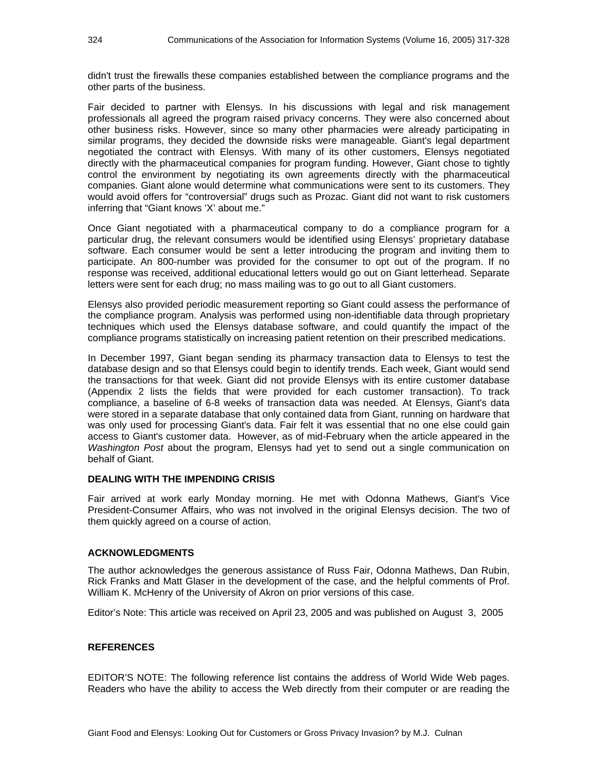didn't trust the firewalls these companies established between the compliance programs and the other parts of the business.

Fair decided to partner with Elensys. In his discussions with legal and risk management professionals all agreed the program raised privacy concerns. They were also concerned about other business risks. However, since so many other pharmacies were already participating in similar programs, they decided the downside risks were manageable. Giant's legal department negotiated the contract with Elensys. With many of its other customers, Elensys negotiated directly with the pharmaceutical companies for program funding. However, Giant chose to tightly control the environment by negotiating its own agreements directly with the pharmaceutical companies. Giant alone would determine what communications were sent to its customers. They would avoid offers for "controversial" drugs such as Prozac. Giant did not want to risk customers inferring that "Giant knows 'X' about me."

Once Giant negotiated with a pharmaceutical company to do a compliance program for a particular drug, the relevant consumers would be identified using Elensys' proprietary database software. Each consumer would be sent a letter introducing the program and inviting them to participate. An 800-number was provided for the consumer to opt out of the program. If no response was received, additional educational letters would go out on Giant letterhead. Separate letters were sent for each drug; no mass mailing was to go out to all Giant customers.

Elensys also provided periodic measurement reporting so Giant could assess the performance of the compliance program. Analysis was performed using non-identifiable data through proprietary techniques which used the Elensys database software, and could quantify the impact of the compliance programs statistically on increasing patient retention on their prescribed medications.

In December 1997, Giant began sending its pharmacy transaction data to Elensys to test the database design and so that Elensys could begin to identify trends. Each week, Giant would send the transactions for that week. Giant did not provide Elensys with its entire customer database (Appendix 2 lists the fields that were provided for each customer transaction). To track compliance, a baseline of 6-8 weeks of transaction data was needed. At Elensys, Giant's data were stored in a separate database that only contained data from Giant, running on hardware that was only used for processing Giant's data. Fair felt it was essential that no one else could gain access to Giant's customer data. However, as of mid-February when the article appeared in the *Washington Post* about the program, Elensys had yet to send out a single communication on behalf of Giant.

#### **DEALING WITH THE IMPENDING CRISIS**

Fair arrived at work early Monday morning. He met with Odonna Mathews, Giant's Vice President-Consumer Affairs, who was not involved in the original Elensys decision. The two of them quickly agreed on a course of action.

#### **ACKNOWLEDGMENTS**

The author acknowledges the generous assistance of Russ Fair, Odonna Mathews, Dan Rubin, Rick Franks and Matt Glaser in the development of the case, and the helpful comments of Prof. William K. McHenry of the University of Akron on prior versions of this case.

Editor's Note: This article was received on April 23, 2005 and was published on August 3, 2005

#### **REFERENCES**

EDITOR'S NOTE: The following reference list contains the address of World Wide Web pages. Readers who have the ability to access the Web directly from their computer or are reading the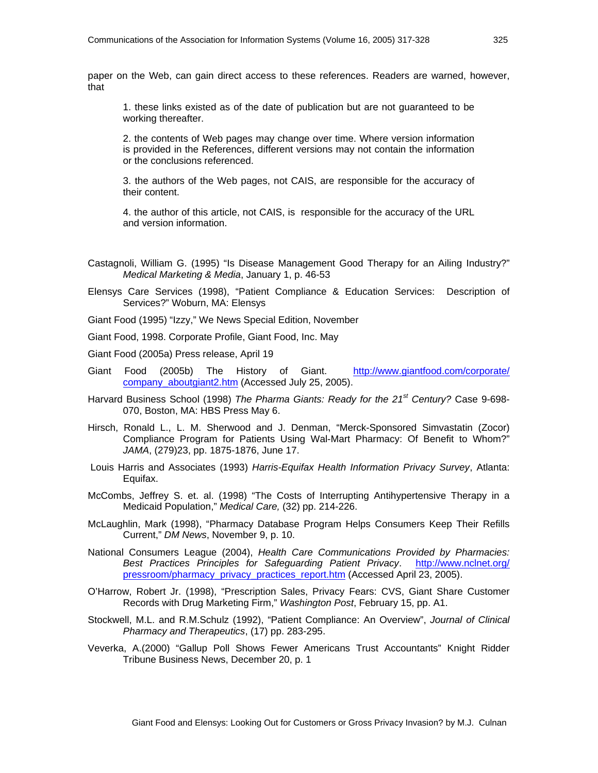paper on the Web, can gain direct access to these references. Readers are warned, however, that

1. these links existed as of the date of publication but are not guaranteed to be working thereafter.

2. the contents of Web pages may change over time. Where version information is provided in the References, different versions may not contain the information or the conclusions referenced.

3. the authors of the Web pages, not CAIS, are responsible for the accuracy of their content.

4. the author of this article, not CAIS, is responsible for the accuracy of the URL and version information.

- Castagnoli, William G. (1995) "Is Disease Management Good Therapy for an Ailing Industry?" *Medical Marketing & Media*, January 1, p. 46-53
- Elensys Care Services (1998), "Patient Compliance & Education Services: Description of Services?" Woburn, MA: Elensys
- Giant Food (1995) "Izzy," We News Special Edition, November
- Giant Food, 1998. Corporate Profile, Giant Food, Inc. May
- Giant Food (2005a) Press release, April 19
- Giant Food (2005b) The History of Giant. http://www.giantfood.com/corporate/ company aboutgiant2.htm (Accessed July 25, 2005).
- Harvard Business School (1998) *The Pharma Giants: Ready for the 21st Century?* Case 9-698- 070, Boston, MA: HBS Press May 6.
- Hirsch, Ronald L., L. M. Sherwood and J. Denman, "Merck-Sponsored Simvastatin (Zocor) Compliance Program for Patients Using Wal-Mart Pharmacy: Of Benefit to Whom?" *JAMA*, (279)23, pp. 1875-1876, June 17.
- Louis Harris and Associates (1993) *Harris-Equifax Health Information Privacy Survey*, Atlanta: Equifax.
- McCombs, Jeffrey S. et. al. (1998) "The Costs of Interrupting Antihypertensive Therapy in a Medicaid Population," *Medical Care,* (32) pp. 214-226.
- McLaughlin, Mark (1998), "Pharmacy Database Program Helps Consumers Keep Their Refills Current," *DM News*, November 9, p. 10.
- National Consumers League (2004), *Health Care Communications Provided by Pharmacies: Best Practices Principles for Safeguarding Patient Privacy*. http://www.nclnet.org/ pressroom/pharmacy\_privacy\_practices\_report.htm (Accessed April 23, 2005).
- O'Harrow, Robert Jr. (1998), "Prescription Sales, Privacy Fears: CVS, Giant Share Customer Records with Drug Marketing Firm," *Washington Post*, February 15, pp. A1.
- Stockwell, M.L. and R.M.Schulz (1992), "Patient Compliance: An Overview", *Journal of Clinical Pharmacy and Therapeutics*, (17) pp. 283-295.
- Veverka, A.(2000) "Gallup Poll Shows Fewer Americans Trust Accountants" Knight Ridder Tribune Business News, December 20, p. 1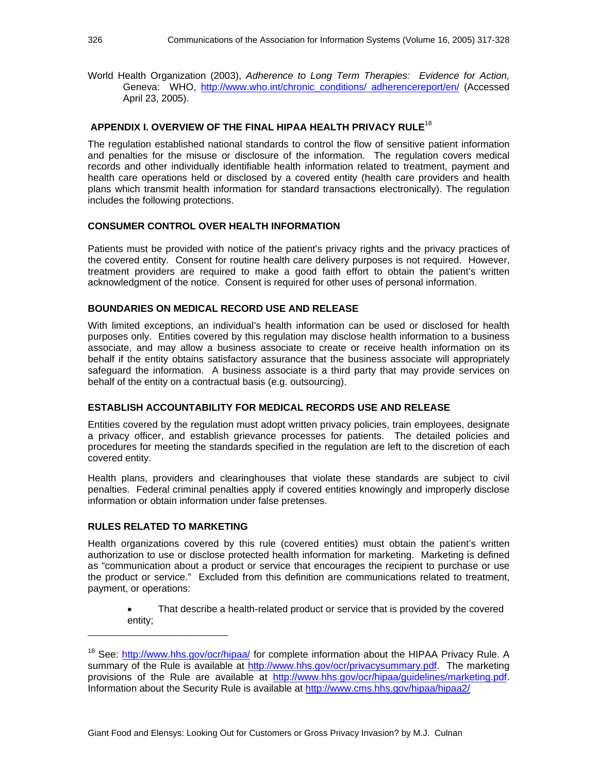World Health Organization (2003), *Adherence to Long Term Therapies: Evidence for Action,*  Geneva: WHO, http://www.who.int/chronic\_conditions/ adherencereport/en/ (Accessed April 23, 2005).

#### **APPENDIX I. OVERVIEW OF THE FINAL HIPAA HEALTH PRIVACY RULE**<sup>18</sup>

The regulation established national standards to control the flow of sensitive patient information and penalties for the misuse or disclosure of the information. The regulation covers medical records and other individually identifiable health information related to treatment, payment and health care operations held or disclosed by a covered entity (health care providers and health plans which transmit health information for standard transactions electronically). The regulation includes the following protections.

#### **CONSUMER CONTROL OVER HEALTH INFORMATION**

Patients must be provided with notice of the patient's privacy rights and the privacy practices of the covered entity. Consent for routine health care delivery purposes is not required. However, treatment providers are required to make a good faith effort to obtain the patient's written acknowledgment of the notice. Consent is required for other uses of personal information.

### **BOUNDARIES ON MEDICAL RECORD USE AND RELEASE**

With limited exceptions, an individual's health information can be used or disclosed for health purposes only. Entities covered by this regulation may disclose health information to a business associate, and may allow a business associate to create or receive health information on its behalf if the entity obtains satisfactory assurance that the business associate will appropriately safeguard the information. A business associate is a third party that may provide services on behalf of the entity on a contractual basis (e.g. outsourcing).

#### **ESTABLISH ACCOUNTABILITY FOR MEDICAL RECORDS USE AND RELEASE**

Entities covered by the regulation must adopt written privacy policies, train employees, designate a privacy officer, and establish grievance processes for patients. The detailed policies and procedures for meeting the standards specified in the regulation are left to the discretion of each covered entity.

Health plans, providers and clearinghouses that violate these standards are subject to civil penalties. Federal criminal penalties apply if covered entities knowingly and improperly disclose information or obtain information under false pretenses.

#### **RULES RELATED TO MARKETING**

1

Health organizations covered by this rule (covered entities) must obtain the patient's written authorization to use or disclose protected health information for marketing. Marketing is defined as "communication about a product or service that encourages the recipient to purchase or use the product or service." Excluded from this definition are communications related to treatment, payment, or operations:

That describe a health-related product or service that is provided by the covered entity;

<sup>&</sup>lt;sup>18</sup> See: http://www.hhs.gov/ocr/hipaa/ for complete information about the HIPAA Privacy Rule. A summary of the Rule is available at http://www.hhs.gov/ocr/privacysummary.pdf. The marketing provisions of the Rule are available at http://www.hhs.gov/ocr/hipaa/guidelines/marketing.pdf. Information about the Security Rule is available at http://www.cms.hhs.gov/hipaa/hipaa2/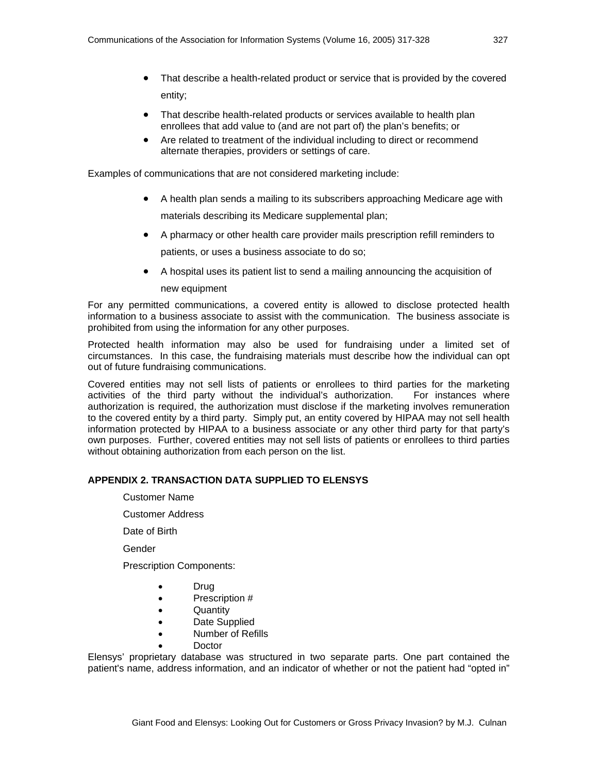- That describe a health-related product or service that is provided by the covered entity;
- That describe health-related products or services available to health plan enrollees that add value to (and are not part of) the plan's benefits; or
- Are related to treatment of the individual including to direct or recommend alternate therapies, providers or settings of care.

Examples of communications that are not considered marketing include:

- A health plan sends a mailing to its subscribers approaching Medicare age with materials describing its Medicare supplemental plan;
- A pharmacy or other health care provider mails prescription refill reminders to patients, or uses a business associate to do so;
- A hospital uses its patient list to send a mailing announcing the acquisition of new equipment

For any permitted communications, a covered entity is allowed to disclose protected health information to a business associate to assist with the communication. The business associate is prohibited from using the information for any other purposes.

Protected health information may also be used for fundraising under a limited set of circumstances. In this case, the fundraising materials must describe how the individual can opt out of future fundraising communications.

Covered entities may not sell lists of patients or enrollees to third parties for the marketing activities of the third party without the individual's authorization. For instances where authorization is required, the authorization must disclose if the marketing involves remuneration to the covered entity by a third party. Simply put, an entity covered by HIPAA may not sell health information protected by HIPAA to a business associate or any other third party for that party's own purposes. Further, covered entities may not sell lists of patients or enrollees to third parties without obtaining authorization from each person on the list.

#### **APPENDIX 2. TRANSACTION DATA SUPPLIED TO ELENSYS**

- Customer Name
- Customer Address
- Date of Birth

Gender

Prescription Components:

- Drug
- Prescription #
- Quantity
- Date Supplied
- Number of Refills
	- **Doctor**

Elensys' proprietary database was structured in two separate parts. One part contained the patient's name, address information, and an indicator of whether or not the patient had "opted in"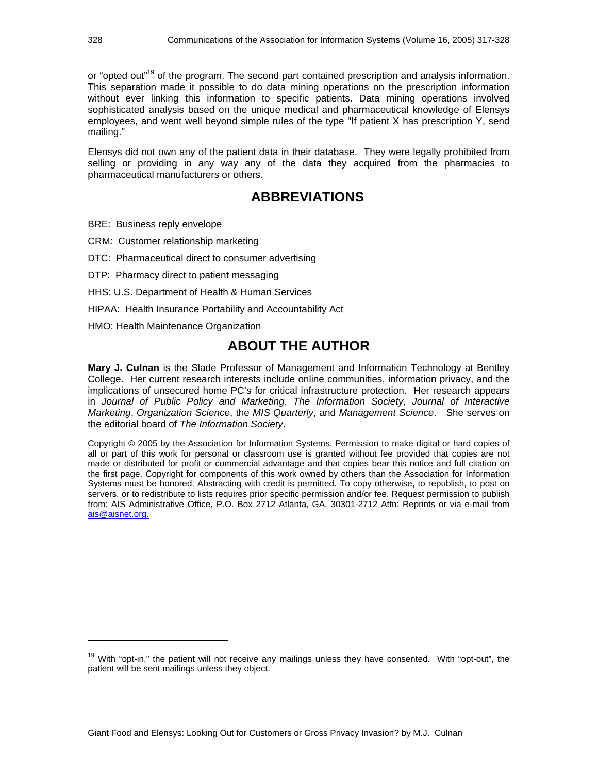or "opted out"<sup>19</sup> of the program. The second part contained prescription and analysis information. This separation made it possible to do data mining operations on the prescription information without ever linking this information to specific patients. Data mining operations involved sophisticated analysis based on the unique medical and pharmaceutical knowledge of Elensys employees, and went well beyond simple rules of the type "If patient X has prescription Y, send mailing."

Elensys did not own any of the patient data in their database. They were legally prohibited from selling or providing in any way any of the data they acquired from the pharmacies to pharmaceutical manufacturers or others.

# **ABBREVIATIONS**

- BRE: Business reply envelope
- CRM: Customer relationship marketing
- DTC: Pharmaceutical direct to consumer advertising
- DTP: Pharmacy direct to patient messaging
- HHS: U.S. Department of Health & Human Services
- HIPAA: Health Insurance Portability and Accountability Act
- HMO: Health Maintenance Organization

# **ABOUT THE AUTHOR**

**Mary J. Culnan** is the Slade Professor of Management and Information Technology at Bentley College. Her current research interests include online communities, information privacy, and the implications of unsecured home PC's for critical infrastructure protection. Her research appears in *Journal of Public Policy and Marketing*, *The Information Society*, *Journal of Interactive Marketing*, *Organization Science*, the *MIS Quarterly*, and *Management Science*. She serves on the editorial board of *The Information Society*.

Copyright © 2005 by the Association for Information Systems. Permission to make digital or hard copies of all or part of this work for personal or classroom use is granted without fee provided that copies are not made or distributed for profit or commercial advantage and that copies bear this notice and full citation on the first page. Copyright for components of this work owned by others than the Association for Information Systems must be honored. Abstracting with credit is permitted. To copy otherwise, to republish, to post on servers, or to redistribute to lists requires prior specific permission and/or fee. Request permission to publish from: AIS Administrative Office, P.O. Box 2712 Atlanta, GA, 30301-2712 Attn: Reprints or via e-mail from ais@aisnet.org.

l

 $19$  With "opt-in," the patient will not receive any mailings unless they have consented. With "opt-out", the patient will be sent mailings unless they object.